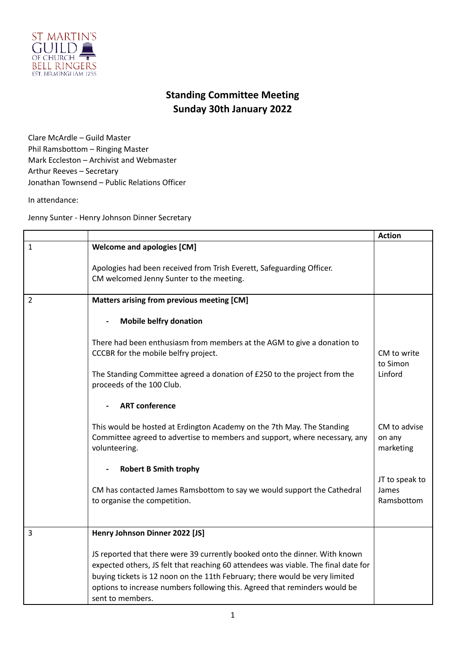

## **Standing Committee Meeting Sunday 30th January 2022**

Clare McArdle – Guild Master Phil Ramsbottom – Ringing Master Mark Eccleston – Archivist and Webmaster Arthur Reeves – Secretary Jonathan Townsend – Public Relations Officer

In attendance:

Jenny Sunter - Henry Johnson Dinner Secretary

|   |                                                                                                                                                                                                                                                                                                                                                    | <b>Action</b>                         |
|---|----------------------------------------------------------------------------------------------------------------------------------------------------------------------------------------------------------------------------------------------------------------------------------------------------------------------------------------------------|---------------------------------------|
| 1 | <b>Welcome and apologies [CM]</b>                                                                                                                                                                                                                                                                                                                  |                                       |
|   | Apologies had been received from Trish Everett, Safeguarding Officer.<br>CM welcomed Jenny Sunter to the meeting.                                                                                                                                                                                                                                  |                                       |
| 2 | Matters arising from previous meeting [CM]                                                                                                                                                                                                                                                                                                         |                                       |
|   | <b>Mobile belfry donation</b>                                                                                                                                                                                                                                                                                                                      |                                       |
|   | There had been enthusiasm from members at the AGM to give a donation to<br>CCCBR for the mobile belfry project.                                                                                                                                                                                                                                    | CM to write<br>to Simon               |
|   | The Standing Committee agreed a donation of £250 to the project from the<br>proceeds of the 100 Club.                                                                                                                                                                                                                                              | Linford                               |
|   | <b>ART</b> conference                                                                                                                                                                                                                                                                                                                              |                                       |
|   | This would be hosted at Erdington Academy on the 7th May. The Standing<br>Committee agreed to advertise to members and support, where necessary, any<br>volunteering.                                                                                                                                                                              | CM to advise<br>on any<br>marketing   |
|   | <b>Robert B Smith trophy</b>                                                                                                                                                                                                                                                                                                                       |                                       |
|   | CM has contacted James Ramsbottom to say we would support the Cathedral<br>to organise the competition.                                                                                                                                                                                                                                            | JT to speak to<br>James<br>Ramsbottom |
| 3 | Henry Johnson Dinner 2022 [JS]                                                                                                                                                                                                                                                                                                                     |                                       |
|   | JS reported that there were 39 currently booked onto the dinner. With known<br>expected others, JS felt that reaching 60 attendees was viable. The final date for<br>buying tickets is 12 noon on the 11th February; there would be very limited<br>options to increase numbers following this. Agreed that reminders would be<br>sent to members. |                                       |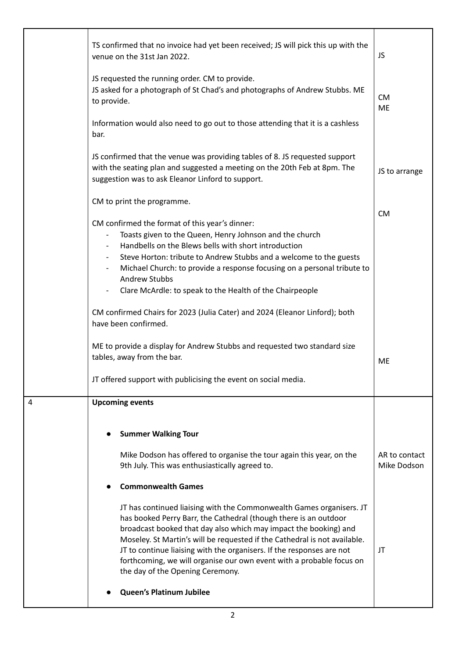|   | TS confirmed that no invoice had yet been received; JS will pick this up with the<br>venue on the 31st Jan 2022.                                                                                                                                                                                                                                                                                                                                                               | JS                           |
|---|--------------------------------------------------------------------------------------------------------------------------------------------------------------------------------------------------------------------------------------------------------------------------------------------------------------------------------------------------------------------------------------------------------------------------------------------------------------------------------|------------------------------|
|   | JS requested the running order. CM to provide.<br>JS asked for a photograph of St Chad's and photographs of Andrew Stubbs. ME<br>to provide.                                                                                                                                                                                                                                                                                                                                   | <b>CM</b><br><b>ME</b>       |
|   | Information would also need to go out to those attending that it is a cashless<br>bar.                                                                                                                                                                                                                                                                                                                                                                                         |                              |
|   | JS confirmed that the venue was providing tables of 8. JS requested support<br>with the seating plan and suggested a meeting on the 20th Feb at 8pm. The<br>suggestion was to ask Eleanor Linford to support.                                                                                                                                                                                                                                                                  | JS to arrange                |
|   | CM to print the programme.                                                                                                                                                                                                                                                                                                                                                                                                                                                     |                              |
|   | CM confirmed the format of this year's dinner:<br>Toasts given to the Queen, Henry Johnson and the church<br>Handbells on the Blews bells with short introduction                                                                                                                                                                                                                                                                                                              | <b>CM</b>                    |
|   | Steve Horton: tribute to Andrew Stubbs and a welcome to the guests<br>Michael Church: to provide a response focusing on a personal tribute to<br>Andrew Stubbs                                                                                                                                                                                                                                                                                                                 |                              |
|   | Clare McArdle: to speak to the Health of the Chairpeople                                                                                                                                                                                                                                                                                                                                                                                                                       |                              |
|   | CM confirmed Chairs for 2023 (Julia Cater) and 2024 (Eleanor Linford); both<br>have been confirmed.                                                                                                                                                                                                                                                                                                                                                                            |                              |
|   | ME to provide a display for Andrew Stubbs and requested two standard size<br>tables, away from the bar.                                                                                                                                                                                                                                                                                                                                                                        | ME                           |
|   | JT offered support with publicising the event on social media.                                                                                                                                                                                                                                                                                                                                                                                                                 |                              |
| 4 | <b>Upcoming events</b>                                                                                                                                                                                                                                                                                                                                                                                                                                                         |                              |
|   | <b>Summer Walking Tour</b>                                                                                                                                                                                                                                                                                                                                                                                                                                                     |                              |
|   | Mike Dodson has offered to organise the tour again this year, on the<br>9th July. This was enthusiastically agreed to.                                                                                                                                                                                                                                                                                                                                                         | AR to contact<br>Mike Dodson |
|   | <b>Commonwealth Games</b>                                                                                                                                                                                                                                                                                                                                                                                                                                                      |                              |
|   | JT has continued liaising with the Commonwealth Games organisers. JT<br>has booked Perry Barr, the Cathedral (though there is an outdoor<br>broadcast booked that day also which may impact the booking) and<br>Moseley. St Martin's will be requested if the Cathedral is not available.<br>JT to continue liaising with the organisers. If the responses are not<br>forthcoming, we will organise our own event with a probable focus on<br>the day of the Opening Ceremony. | JT                           |
|   | <b>Queen's Platinum Jubilee</b>                                                                                                                                                                                                                                                                                                                                                                                                                                                |                              |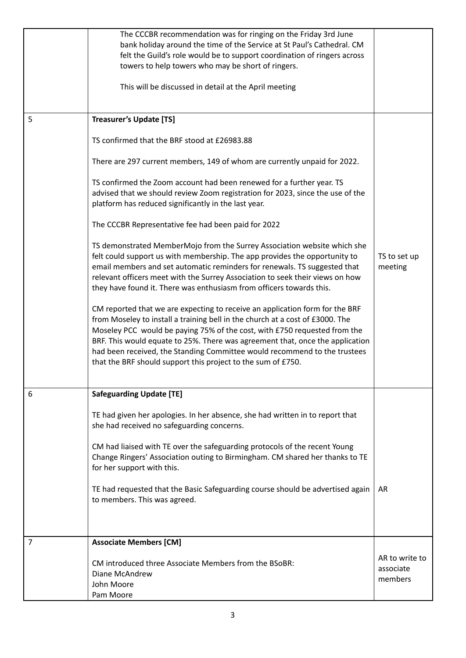|   | The CCCBR recommendation was for ringing on the Friday 3rd June<br>bank holiday around the time of the Service at St Paul's Cathedral. CM<br>felt the Guild's role would be to support coordination of ringers across<br>towers to help towers who may be short of ringers.<br>This will be discussed in detail at the April meeting                                                                                                                                     |                                        |
|---|--------------------------------------------------------------------------------------------------------------------------------------------------------------------------------------------------------------------------------------------------------------------------------------------------------------------------------------------------------------------------------------------------------------------------------------------------------------------------|----------------------------------------|
| 5 | <b>Treasurer's Update [TS]</b>                                                                                                                                                                                                                                                                                                                                                                                                                                           |                                        |
|   | TS confirmed that the BRF stood at £26983.88                                                                                                                                                                                                                                                                                                                                                                                                                             |                                        |
|   | There are 297 current members, 149 of whom are currently unpaid for 2022.                                                                                                                                                                                                                                                                                                                                                                                                |                                        |
|   | TS confirmed the Zoom account had been renewed for a further year. TS<br>advised that we should review Zoom registration for 2023, since the use of the<br>platform has reduced significantly in the last year.                                                                                                                                                                                                                                                          |                                        |
|   | The CCCBR Representative fee had been paid for 2022                                                                                                                                                                                                                                                                                                                                                                                                                      |                                        |
|   | TS demonstrated MemberMojo from the Surrey Association website which she<br>felt could support us with membership. The app provides the opportunity to<br>email members and set automatic reminders for renewals. TS suggested that<br>relevant officers meet with the Surrey Association to seek their views on how<br>they have found it. There was enthusiasm from officers towards this.                                                                             | TS to set up<br>meeting                |
|   | CM reported that we are expecting to receive an application form for the BRF<br>from Moseley to install a training bell in the church at a cost of £3000. The<br>Moseley PCC would be paying 75% of the cost, with £750 requested from the<br>BRF. This would equate to 25%. There was agreement that, once the application<br>had been received, the Standing Committee would recommend to the trustees<br>that the BRF should support this project to the sum of £750. |                                        |
| 6 | <b>Safeguarding Update [TE]</b>                                                                                                                                                                                                                                                                                                                                                                                                                                          |                                        |
|   | TE had given her apologies. In her absence, she had written in to report that<br>she had received no safeguarding concerns.                                                                                                                                                                                                                                                                                                                                              |                                        |
|   | CM had liaised with TE over the safeguarding protocols of the recent Young<br>Change Ringers' Association outing to Birmingham. CM shared her thanks to TE<br>for her support with this.                                                                                                                                                                                                                                                                                 |                                        |
|   | TE had requested that the Basic Safeguarding course should be advertised again<br>to members. This was agreed.                                                                                                                                                                                                                                                                                                                                                           | AR                                     |
| 7 | <b>Associate Members [CM]</b>                                                                                                                                                                                                                                                                                                                                                                                                                                            |                                        |
|   | CM introduced three Associate Members from the BSoBR:<br>Diane McAndrew<br>John Moore<br>Pam Moore                                                                                                                                                                                                                                                                                                                                                                       | AR to write to<br>associate<br>members |
|   |                                                                                                                                                                                                                                                                                                                                                                                                                                                                          |                                        |